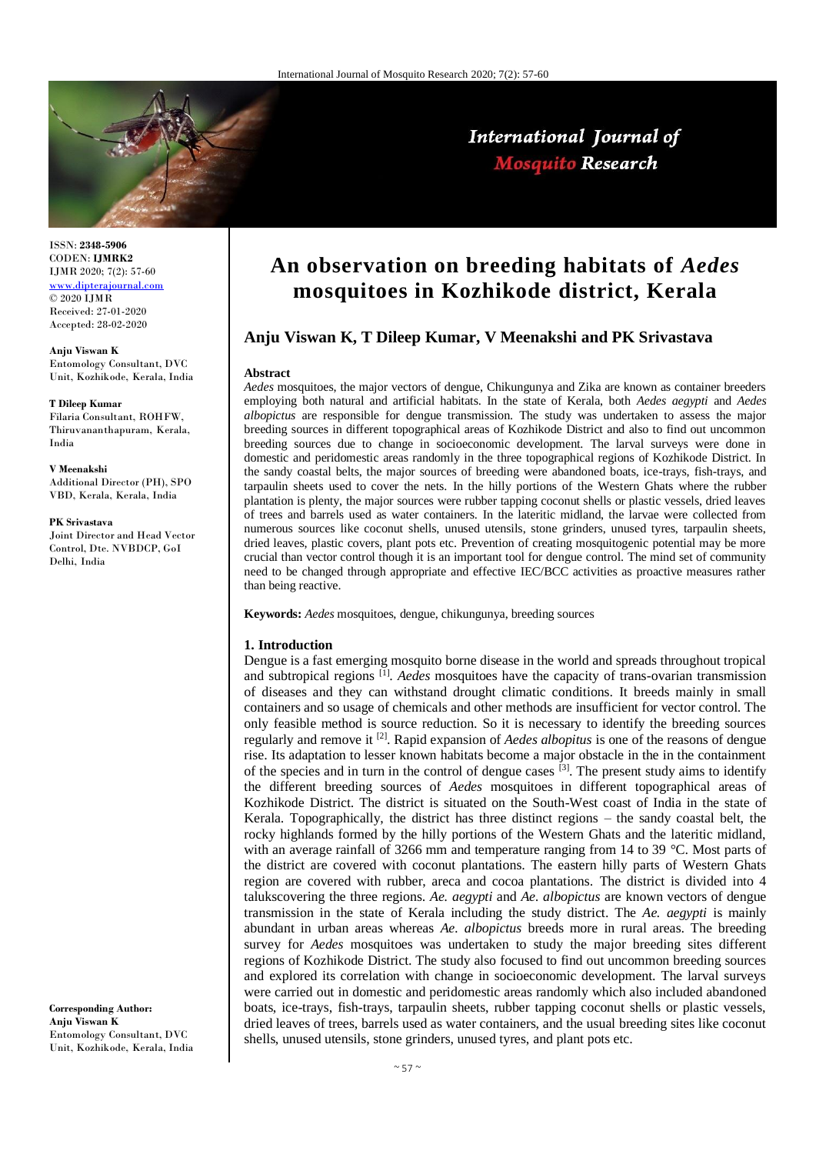

# International Journal of **Mosquito Research**

ISSN: **2348-5906** CODEN: **IJMRK2** IJMR 2020; 7(2): 57-60 <www.dipterajournal.com>  $\odot$  2020 IJMR Received: 27-01-2020 Accepted: 28-02-2020

**Anju Viswan K** Entomology Consultant, DVC Unit, Kozhikode, Kerala, India

### **T Dileep Kumar**

Filaria Consultant, ROHFW, Thiruvananthapuram, Kerala, India

#### **V Meenakshi**

Additional Director (PH), SPO VBD, Kerala, Kerala, India

#### **PK Srivastava**

Joint Director and Head Vector Control, Dte. NVBDCP, GoI Delhi, India

**Corresponding Author: Anju Viswan K** Entomology Consultant, DVC Unit, Kozhikode, Kerala, India

# **An observation on breeding habitats of** *Aedes* **mosquitoes in Kozhikode district, Kerala**

# **Anju Viswan K, T Dileep Kumar, V Meenakshi and PK Srivastava**

### **Abstract**

*Aedes* mosquitoes, the major vectors of dengue, Chikungunya and Zika are known as container breeders employing both natural and artificial habitats. In the state of Kerala, both *Aedes aegypti* and *Aedes albopictus* are responsible for dengue transmission. The study was undertaken to assess the major breeding sources in different topographical areas of Kozhikode District and also to find out uncommon breeding sources due to change in socioeconomic development. The larval surveys were done in domestic and peridomestic areas randomly in the three topographical regions of Kozhikode District. In the sandy coastal belts, the major sources of breeding were abandoned boats, ice-trays, fish-trays, and tarpaulin sheets used to cover the nets. In the hilly portions of the Western Ghats where the rubber plantation is plenty, the major sources were rubber tapping coconut shells or plastic vessels, dried leaves of trees and barrels used as water containers. In the lateritic midland, the larvae were collected from numerous sources like coconut shells, unused utensils, stone grinders, unused tyres, tarpaulin sheets, dried leaves, plastic covers, plant pots etc. Prevention of creating mosquitogenic potential may be more crucial than vector control though it is an important tool for dengue control. The mind set of community need to be changed through appropriate and effective IEC/BCC activities as proactive measures rather than being reactive.

**Keywords:** *Aedes* mosquitoes, dengue, chikungunya, breeding sources

## **1. Introduction**

Dengue is a fast emerging mosquito borne disease in the world and spreads throughout tropical and subtropical regions [1] . *Aedes* mosquitoes have the capacity of trans-ovarian transmission of diseases and they can withstand drought climatic conditions. It breeds mainly in small containers and so usage of chemicals and other methods are insufficient for vector control. The only feasible method is source reduction. So it is necessary to identify the breeding sources regularly and remove it [2]. Rapid expansion of *Aedes albopitus* is one of the reasons of dengue rise. Its adaptation to lesser known habitats become a major obstacle in the in the containment of the species and in turn in the control of dengue cases  $^{[3]}$ . The present study aims to identify the different breeding sources of *Aedes* mosquitoes in different topographical areas of Kozhikode District. The district is situated on the South-West coast of India in the state of Kerala. Topographically, the district has three distinct regions – the sandy coastal belt, the rocky highlands formed by the hilly portions of the Western Ghats and the lateritic midland, with an average rainfall of 3266 mm and temperature ranging from 14 to 39 °C. Most parts of the district are covered with coconut plantations. The eastern hilly parts of Western Ghats region are covered with rubber, areca and cocoa plantations. The district is divided into 4 talukscovering the three regions. *Ae. aegypti* and *Ae. albopictus* are known vectors of dengue transmission in the state of Kerala including the study district. The *Ae. aegypti* is mainly abundant in urban areas whereas *Ae. albopictus* breeds more in rural areas. The breeding survey for *Aedes* mosquitoes was undertaken to study the major breeding sites different regions of Kozhikode District. The study also focused to find out uncommon breeding sources and explored its correlation with change in socioeconomic development. The larval surveys were carried out in domestic and peridomestic areas randomly which also included abandoned boats, ice-trays, fish-trays, tarpaulin sheets, rubber tapping coconut shells or plastic vessels, dried leaves of trees, barrels used as water containers, and the usual breeding sites like coconut shells, unused utensils, stone grinders, unused tyres, and plant pots etc.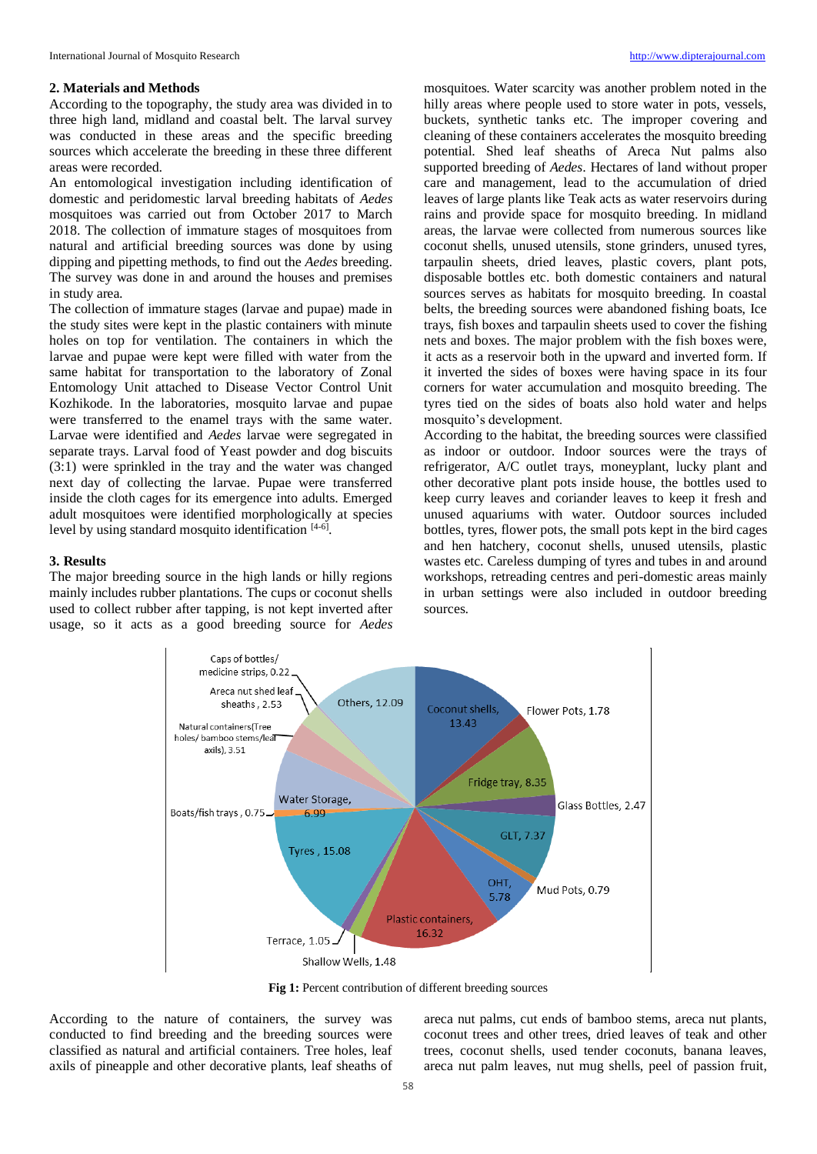## **2. Materials and Methods**

According to the topography, the study area was divided in to three high land, midland and coastal belt. The larval survey was conducted in these areas and the specific breeding sources which accelerate the breeding in these three different areas were recorded.

An entomological investigation including identification of domestic and peridomestic larval breeding habitats of *Aedes*  mosquitoes was carried out from October 2017 to March 2018. The collection of immature stages of mosquitoes from natural and artificial breeding sources was done by using dipping and pipetting methods, to find out the *Aedes* breeding. The survey was done in and around the houses and premises in study area.

The collection of immature stages (larvae and pupae) made in the study sites were kept in the plastic containers with minute holes on top for ventilation. The containers in which the larvae and pupae were kept were filled with water from the same habitat for transportation to the laboratory of Zonal Entomology Unit attached to Disease Vector Control Unit Kozhikode. In the laboratories, mosquito larvae and pupae were transferred to the enamel trays with the same water. Larvae were identified and *Aedes* larvae were segregated in separate trays. Larval food of Yeast powder and dog biscuits (3:1) were sprinkled in the tray and the water was changed next day of collecting the larvae. Pupae were transferred inside the cloth cages for its emergence into adults. Emerged adult mosquitoes were identified morphologically at species level by using standard mosquito identification [4-6].

## **3. Results**

The major breeding source in the high lands or hilly regions mainly includes rubber plantations. The cups or coconut shells used to collect rubber after tapping, is not kept inverted after usage, so it acts as a good breeding source for *Aedes*

mosquitoes. Water scarcity was another problem noted in the hilly areas where people used to store water in pots, vessels, buckets, synthetic tanks etc. The improper covering and cleaning of these containers accelerates the mosquito breeding potential. Shed leaf sheaths of Areca Nut palms also supported breeding of *Aedes*. Hectares of land without proper care and management, lead to the accumulation of dried leaves of large plants like Teak acts as water reservoirs during rains and provide space for mosquito breeding. In midland areas, the larvae were collected from numerous sources like coconut shells, unused utensils, stone grinders, unused tyres, tarpaulin sheets, dried leaves, plastic covers, plant pots, disposable bottles etc. both domestic containers and natural sources serves as habitats for mosquito breeding. In coastal belts, the breeding sources were abandoned fishing boats, Ice trays, fish boxes and tarpaulin sheets used to cover the fishing nets and boxes. The major problem with the fish boxes were, it acts as a reservoir both in the upward and inverted form. If it inverted the sides of boxes were having space in its four corners for water accumulation and mosquito breeding. The tyres tied on the sides of boats also hold water and helps mosquito's development.

According to the habitat, the breeding sources were classified as indoor or outdoor. Indoor sources were the trays of refrigerator, A/C outlet trays, moneyplant, lucky plant and other decorative plant pots inside house, the bottles used to keep curry leaves and coriander leaves to keep it fresh and unused aquariums with water. Outdoor sources included bottles, tyres, flower pots, the small pots kept in the bird cages and hen hatchery, coconut shells, unused utensils, plastic wastes etc. Careless dumping of tyres and tubes in and around workshops, retreading centres and peri-domestic areas mainly in urban settings were also included in outdoor breeding sources.



**Fig 1:** Percent contribution of different breeding sources

According to the nature of containers, the survey was conducted to find breeding and the breeding sources were classified as natural and artificial containers. Tree holes, leaf axils of pineapple and other decorative plants, leaf sheaths of

areca nut palms, cut ends of bamboo stems, areca nut plants, coconut trees and other trees, dried leaves of teak and other trees, coconut shells, used tender coconuts, banana leaves, areca nut palm leaves, nut mug shells, peel of passion fruit,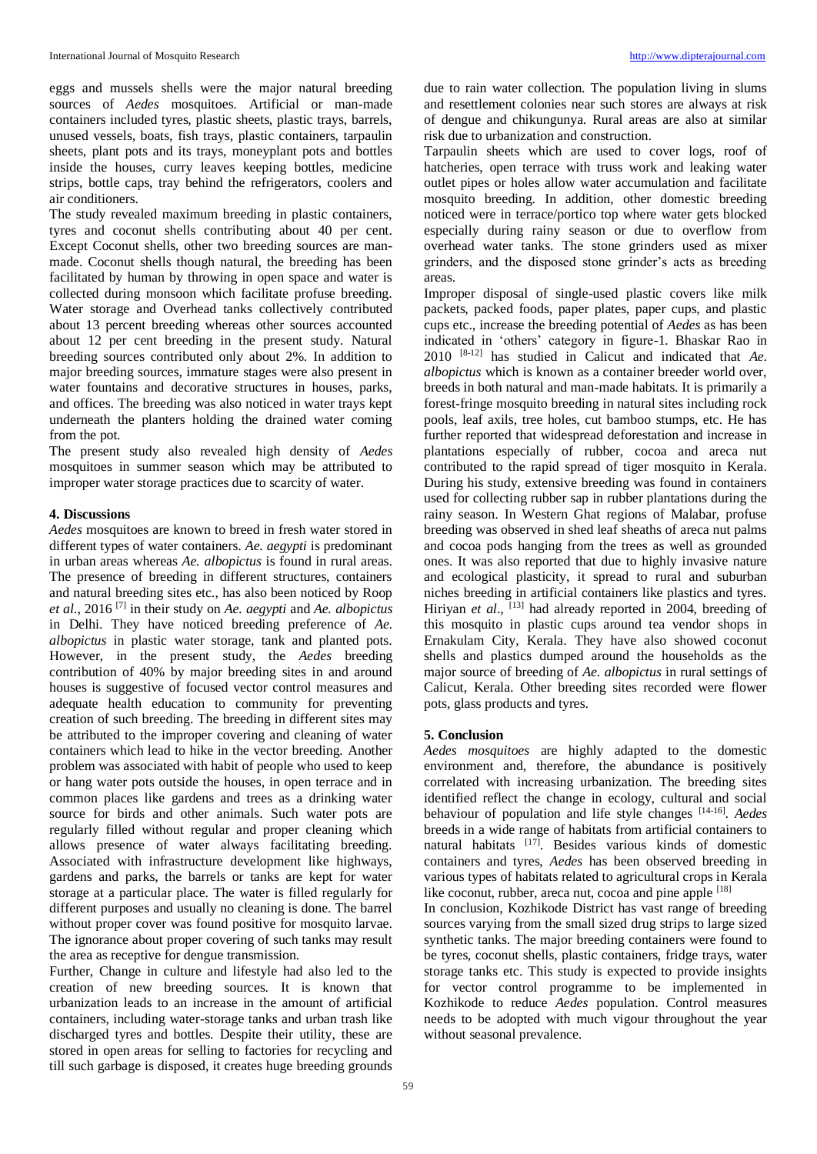eggs and mussels shells were the major natural breeding sources of *Aedes* mosquitoes. Artificial or man-made containers included tyres, plastic sheets, plastic trays, barrels, unused vessels, boats, fish trays, plastic containers, tarpaulin sheets, plant pots and its trays, moneyplant pots and bottles inside the houses, curry leaves keeping bottles, medicine strips, bottle caps, tray behind the refrigerators, coolers and air conditioners.

The study revealed maximum breeding in plastic containers, tyres and coconut shells contributing about 40 per cent. Except Coconut shells, other two breeding sources are manmade. Coconut shells though natural, the breeding has been facilitated by human by throwing in open space and water is collected during monsoon which facilitate profuse breeding. Water storage and Overhead tanks collectively contributed about 13 percent breeding whereas other sources accounted about 12 per cent breeding in the present study. Natural breeding sources contributed only about 2%. In addition to major breeding sources, immature stages were also present in water fountains and decorative structures in houses, parks, and offices. The breeding was also noticed in water trays kept underneath the planters holding the drained water coming from the pot.

The present study also revealed high density of *Aedes* mosquitoes in summer season which may be attributed to improper water storage practices due to scarcity of water.

# **4. Discussions**

*Aedes* mosquitoes are known to breed in fresh water stored in different types of water containers. *Ae. aegypti* is predominant in urban areas whereas *Ae. albopictus* is found in rural areas. The presence of breeding in different structures, containers and natural breeding sites etc., has also been noticed by Roop *et al*., 2016 [7] in their study on *Ae. aegypti* and *Ae. albopictus* in Delhi. They have noticed breeding preference of *Ae. albopictus* in plastic water storage, tank and planted pots. However, in the present study, the *Aedes* breeding contribution of 40% by major breeding sites in and around houses is suggestive of focused vector control measures and adequate health education to community for preventing creation of such breeding. The breeding in different sites may be attributed to the improper covering and cleaning of water containers which lead to hike in the vector breeding. Another problem was associated with habit of people who used to keep or hang water pots outside the houses, in open terrace and in common places like gardens and trees as a drinking water source for birds and other animals. Such water pots are regularly filled without regular and proper cleaning which allows presence of water always facilitating breeding. Associated with infrastructure development like highways, gardens and parks, the barrels or tanks are kept for water storage at a particular place. The water is filled regularly for different purposes and usually no cleaning is done. The barrel without proper cover was found positive for mosquito larvae. The ignorance about proper covering of such tanks may result the area as receptive for dengue transmission.

Further, Change in culture and lifestyle had also led to the creation of new breeding sources. It is known that urbanization leads to an increase in the amount of artificial containers, including water-storage tanks and urban trash like discharged tyres and bottles. Despite their utility, these are stored in open areas for selling to factories for recycling and till such garbage is disposed, it creates huge breeding grounds

due to rain water collection. The population living in slums and resettlement colonies near such stores are always at risk of dengue and chikungunya. Rural areas are also at similar risk due to urbanization and construction.

Tarpaulin sheets which are used to cover logs, roof of hatcheries, open terrace with truss work and leaking water outlet pipes or holes allow water accumulation and facilitate mosquito breeding. In addition, other domestic breeding noticed were in terrace/portico top where water gets blocked especially during rainy season or due to overflow from overhead water tanks. The stone grinders used as mixer grinders, and the disposed stone grinder's acts as breeding areas.

Improper disposal of single-used plastic covers like milk packets, packed foods, paper plates, paper cups, and plastic cups etc., increase the breeding potential of *Aedes* as has been indicated in 'others' category in figure-1. Bhaskar Rao in 2010 [8-12] has studied in Calicut and indicated that *Ae. albopictus* which is known as a container breeder world over, breeds in both natural and man-made habitats. It is primarily a forest-fringe mosquito breeding in natural sites including rock pools, leaf axils, tree holes, cut bamboo stumps, etc. He has further reported that widespread deforestation and increase in plantations especially of rubber, cocoa and areca nut contributed to the rapid spread of tiger mosquito in Kerala. During his study, extensive breeding was found in containers used for collecting rubber sap in rubber plantations during the rainy season. In Western Ghat regions of Malabar, profuse breeding was observed in shed leaf sheaths of areca nut palms and cocoa pods hanging from the trees as well as grounded ones. It was also reported that due to highly invasive nature and ecological plasticity, it spread to rural and suburban niches breeding in artificial containers like plastics and tyres. Hiriyan et al., <sup>[13]</sup> had already reported in 2004, breeding of this mosquito in plastic cups around tea vendor shops in Ernakulam City, Kerala. They have also showed coconut shells and plastics dumped around the households as the major source of breeding of *Ae. albopictus* in rural settings of Calicut, Kerala. Other breeding sites recorded were flower pots, glass products and tyres.

# **5. Conclusion**

*Aedes mosquitoes* are highly adapted to the domestic environment and, therefore, the abundance is positively correlated with increasing urbanization. The breeding sites identified reflect the change in ecology, cultural and social behaviour of population and life style changes [14-16] . *Aedes*  breeds in a wide range of habitats from artificial containers to natural habitats [17]. Besides various kinds of domestic containers and tyres, *Aedes* has been observed breeding in various types of habitats related to agricultural crops in Kerala like coconut, rubber, areca nut, cocoa and pine apple [18]

In conclusion, Kozhikode District has vast range of breeding sources varying from the small sized drug strips to large sized synthetic tanks. The major breeding containers were found to be tyres, coconut shells, plastic containers, fridge trays, water storage tanks etc. This study is expected to provide insights for vector control programme to be implemented in Kozhikode to reduce *Aedes* population. Control measures needs to be adopted with much vigour throughout the year without seasonal prevalence.